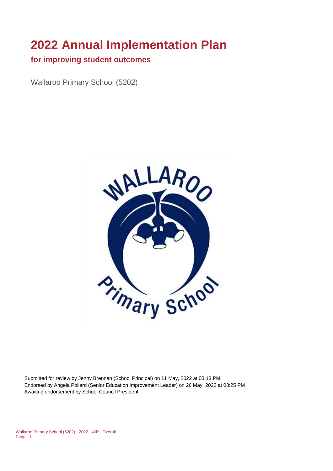## **2022 Annual Implementation Plan**

## **for improving student outcomes**

Wallaroo Primary School (5202)



Submitted for review by Jenny Brennan (School Principal) on 11 May, 2022 at 03:13 PM Endorsed by Angela Pollard (Senior Education Improvement Leader) on 26 May, 2022 at 03:25 PM Awaiting endorsement by School Council President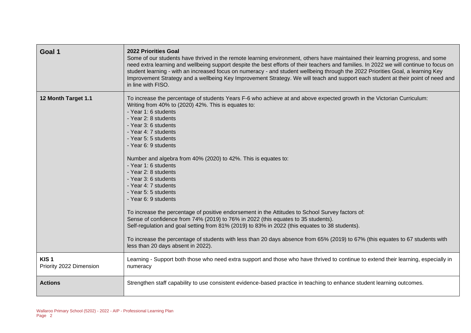| Goal 1                                      | <b>2022 Priorities Goal</b><br>Some of our students have thrived in the remote learning environment, others have maintained their learning progress, and some<br>need extra learning and wellbeing support despite the best efforts of their teachers and families. In 2022 we will continue to focus on<br>student learning - with an increased focus on numeracy - and student wellbeing through the 2022 Priorities Goal, a learning Key<br>Improvement Strategy and a wellbeing Key Improvement Strategy. We will teach and support each student at their point of need and<br>in line with FISO.                                                                                                                                                                                                                                                                                                                                                                                                              |
|---------------------------------------------|--------------------------------------------------------------------------------------------------------------------------------------------------------------------------------------------------------------------------------------------------------------------------------------------------------------------------------------------------------------------------------------------------------------------------------------------------------------------------------------------------------------------------------------------------------------------------------------------------------------------------------------------------------------------------------------------------------------------------------------------------------------------------------------------------------------------------------------------------------------------------------------------------------------------------------------------------------------------------------------------------------------------|
| 12 Month Target 1.1                         | To increase the percentage of students Years F-6 who achieve at and above expected growth in the Victorian Curriculum:<br>Writing from 40% to (2020) 42%. This is equates to:<br>- Year 1: 6 students<br>- Year 2: 8 students<br>- Year 3: 6 students<br>- Year 4: 7 students<br>- Year 5: 5 students<br>- Year 6: 9 students<br>Number and algebra from 40% (2020) to 42%. This is equates to:<br>- Year 1: 6 students<br>- Year 2: 8 students<br>- Year 3: 6 students<br>- Year 4: 7 students<br>- Year 5: 5 students<br>- Year 6: 9 students<br>To increase the percentage of positive endorsement in the Attitudes to School Survey factors of:<br>Sense of confidence from 74% (2019) to 76% in 2022 (this equates to 35 students).<br>Self-regulation and goal setting from 81% (2019) to 83% in 2022 (this equates to 38 students).<br>To increase the percentage of students with less than 20 days absence from 65% (2019) to 67% (this equates to 67 students with<br>less than 20 days absent in 2022). |
| KIS <sub>1</sub><br>Priority 2022 Dimension | Learning - Support both those who need extra support and those who have thrived to continue to extend their learning, especially in<br>numeracy                                                                                                                                                                                                                                                                                                                                                                                                                                                                                                                                                                                                                                                                                                                                                                                                                                                                    |
| <b>Actions</b>                              | Strengthen staff capability to use consistent evidence-based practice in teaching to enhance student learning outcomes.                                                                                                                                                                                                                                                                                                                                                                                                                                                                                                                                                                                                                                                                                                                                                                                                                                                                                            |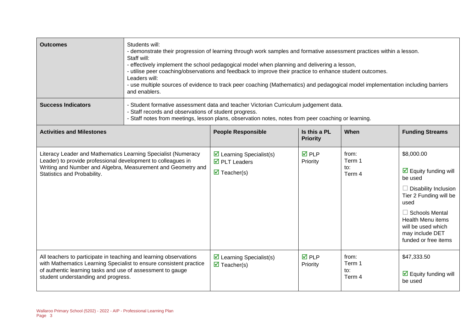| <b>Outcomes</b>                                                                                                                                                                                                                              | Students will:<br>- demonstrate their progression of learning through work samples and formative assessment practices within a lesson.<br>Staff will:<br>- effectively implement the school pedagogical model when planning and delivering a lesson,<br>- utilise peer coaching/observations and feedback to improve their practice to enhance student outcomes.<br>Leaders will:<br>- use multiple sources of evidence to track peer coaching (Mathematics) and pedagogical model implementation including barriers<br>and enablers. |                                                                                                             |                                 |                                  |                                                                                                                                                                                                                                                             |
|----------------------------------------------------------------------------------------------------------------------------------------------------------------------------------------------------------------------------------------------|---------------------------------------------------------------------------------------------------------------------------------------------------------------------------------------------------------------------------------------------------------------------------------------------------------------------------------------------------------------------------------------------------------------------------------------------------------------------------------------------------------------------------------------|-------------------------------------------------------------------------------------------------------------|---------------------------------|----------------------------------|-------------------------------------------------------------------------------------------------------------------------------------------------------------------------------------------------------------------------------------------------------------|
| <b>Success Indicators</b>                                                                                                                                                                                                                    | Student formative assessment data and teacher Victorian Curriculum judgement data.<br>- Staff records and observations of student progress.<br>- Staff notes from meetings, lesson plans, observation notes, notes from peer coaching or learning.                                                                                                                                                                                                                                                                                    |                                                                                                             |                                 |                                  |                                                                                                                                                                                                                                                             |
| <b>Activities and Milestones</b>                                                                                                                                                                                                             |                                                                                                                                                                                                                                                                                                                                                                                                                                                                                                                                       | <b>People Responsible</b>                                                                                   | Is this a PL<br><b>Priority</b> | When                             | <b>Funding Streams</b>                                                                                                                                                                                                                                      |
| Literacy Leader and Mathematics Learning Specialist (Numeracy<br>Leader) to provide professional development to colleagues in<br>Statistics and Probability.                                                                                 | Writing and Number and Algebra, Measurement and Geometry and                                                                                                                                                                                                                                                                                                                                                                                                                                                                          | $\triangleright$ Learning Specialist(s)<br>$\overline{\boxtimes}$ PLT Leaders<br>$\triangledown$ Teacher(s) | <b>☑</b> PLP<br>Priority        | from:<br>Term 1<br>to:<br>Term 4 | \$8,000.00<br>$\overline{\mathbf{M}}$ Equity funding will<br>be used<br>$\Box$ Disability Inclusion<br>Tier 2 Funding will be<br>used<br>$\Box$ Schools Mental<br><b>Health Menu items</b><br>will be used which<br>may include DET<br>funded or free items |
| All teachers to participate in teaching and learning observations<br>with Mathematics Learning Specialist to ensure consistent practice<br>of authentic learning tasks and use of assessment to gauge<br>student understanding and progress. |                                                                                                                                                                                                                                                                                                                                                                                                                                                                                                                                       | $\triangleright$ Learning Specialist(s)<br>$\overline{\mathbf{z}}$ Teacher(s)                               | <b>☑</b> PLP<br>Priority        | from:<br>Term 1<br>to:<br>Term 4 | \$47,333.50<br>$\triangleright$ Equity funding will<br>be used                                                                                                                                                                                              |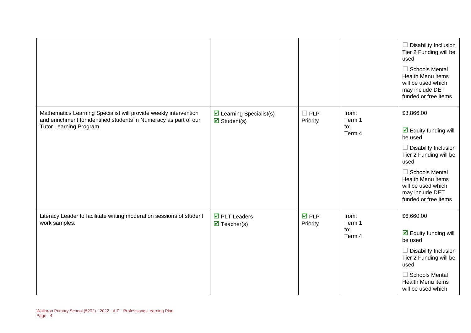|                                                                                                                                                                  |                                                                   |                          |                                  | $\Box$ Disability Inclusion<br>Tier 2 Funding will be<br>used<br>$\Box$ Schools Mental<br><b>Health Menu items</b><br>will be used which<br>may include DET<br>funded or free items                                                           |
|------------------------------------------------------------------------------------------------------------------------------------------------------------------|-------------------------------------------------------------------|--------------------------|----------------------------------|-----------------------------------------------------------------------------------------------------------------------------------------------------------------------------------------------------------------------------------------------|
| Mathematics Learning Specialist will provide weekly intervention<br>and enrichment for identified students in Numeracy as part of our<br>Tutor Learning Program. | $\triangleright$ Learning Specialist(s)<br>$\boxtimes$ Student(s) | $\Box$ PLP<br>Priority   | from:<br>Term 1<br>to:<br>Term 4 | \$3,866.00<br>$\triangleright$ Equity funding will<br>be used<br>$\Box$ Disability Inclusion<br>Tier 2 Funding will be<br>used<br>$\Box$ Schools Mental<br>Health Menu items<br>will be used which<br>may include DET<br>funded or free items |
| Literacy Leader to facilitate writing moderation sessions of student<br>work samples.                                                                            | $\overline{\boxtimes}$ PLT Leaders<br>$\triangledown$ Teacher(s)  | <b>☑</b> PLP<br>Priority | from:<br>Term 1<br>to:<br>Term 4 | \$6,660.00<br>$\overline{\mathbf{y}}$ Equity funding will<br>be used<br>$\Box$ Disability Inclusion<br>Tier 2 Funding will be<br>used<br>$\Box$ Schools Mental<br><b>Health Menu items</b><br>will be used which                              |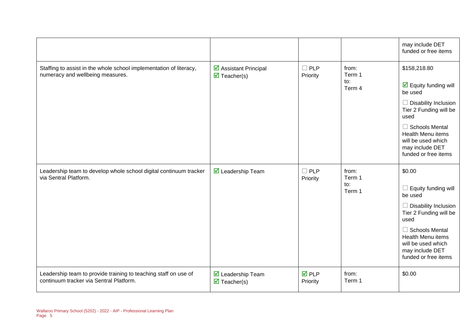|                                                                                                            |                                                     |                                |                                  | may include DET<br>funded or free items                                                                                                                                                                                                                |
|------------------------------------------------------------------------------------------------------------|-----------------------------------------------------|--------------------------------|----------------------------------|--------------------------------------------------------------------------------------------------------------------------------------------------------------------------------------------------------------------------------------------------------|
| Staffing to assist in the whole school implementation of literacy,<br>numeracy and wellbeing measures.     | ☑ Assistant Principal<br>$\triangledown$ Teacher(s) | $\Box$ PLP<br>Priority         | from:<br>Term 1<br>to:<br>Term 4 | \$158,218.80<br>$\overline{\mathbf{y}}$ Equity funding will<br>be used<br>$\Box$ Disability Inclusion<br>Tier 2 Funding will be<br>used<br>$\Box$ Schools Mental<br>Health Menu items<br>will be used which<br>may include DET<br>funded or free items |
| Leadership team to develop whole school digital continuum tracker<br>via Sentral Platform.                 | ■ Leadership Team                                   | $\Box$ PLP<br>Priority         | from:<br>Term 1<br>to:<br>Term 1 | \$0.00<br>$\Box$ Equity funding will<br>be used<br>$\Box$ Disability Inclusion<br>Tier 2 Funding will be<br>used<br>$\Box$ Schools Mental<br>Health Menu items<br>will be used which<br>may include DET<br>funded or free items                        |
| Leadership team to provide training to teaching staff on use of<br>continuum tracker via Sentral Platform. | ■ Leadership Team<br>$\triangledown$ Teacher(s)     | $\overline{M}$ PLP<br>Priority | from:<br>Term 1                  | \$0.00                                                                                                                                                                                                                                                 |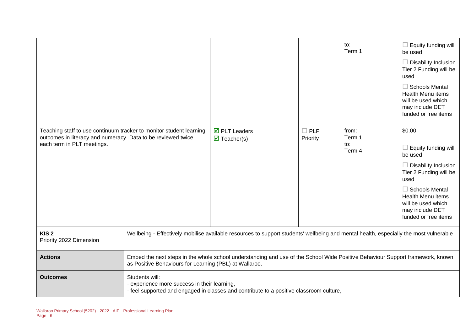|                                                                                                                                                                   |                                                                                                                                                                                         |                                                                           |                           | to:<br>Term 1                    | $\Box$ Equity funding will<br>be used<br>$\Box$ Disability Inclusion<br>Tier 2 Funding will be<br>used<br>$\Box$ Schools Mental<br>Health Menu items<br>will be used which<br>may include DET<br>funded or free items                  |
|-------------------------------------------------------------------------------------------------------------------------------------------------------------------|-----------------------------------------------------------------------------------------------------------------------------------------------------------------------------------------|---------------------------------------------------------------------------|---------------------------|----------------------------------|----------------------------------------------------------------------------------------------------------------------------------------------------------------------------------------------------------------------------------------|
| Teaching staff to use continuum tracker to monitor student learning<br>outcomes in literacy and numeracy. Data to be reviewed twice<br>each term in PLT meetings. |                                                                                                                                                                                         | $\overline{\mathbf{M}}$ PLT Leaders<br>$\overline{\mathbf{M}}$ Teacher(s) | $\square$ PLP<br>Priority | from:<br>Term 1<br>to:<br>Term 4 | \$0.00<br>$\Box$ Equity funding will<br>be used<br>$\Box$ Disability Inclusion<br>Tier 2 Funding will be<br>used<br>$\Box$ Schools Mental<br><b>Health Menu items</b><br>will be used which<br>may include DET<br>funded or free items |
| KIS <sub>2</sub><br>Priority 2022 Dimension                                                                                                                       | Wellbeing - Effectively mobilise available resources to support students' wellbeing and mental health, especially the most vulnerable                                                   |                                                                           |                           |                                  |                                                                                                                                                                                                                                        |
| <b>Actions</b>                                                                                                                                                    | Embed the next steps in the whole school understanding and use of the School Wide Positive Behaviour Support framework, known<br>as Positive Behaviours for Learning (PBL) at Wallaroo. |                                                                           |                           |                                  |                                                                                                                                                                                                                                        |
| <b>Outcomes</b>                                                                                                                                                   | Students will:<br>- experience more success in their learning,<br>- feel supported and engaged in classes and contribute to a positive classroom culture,                               |                                                                           |                           |                                  |                                                                                                                                                                                                                                        |